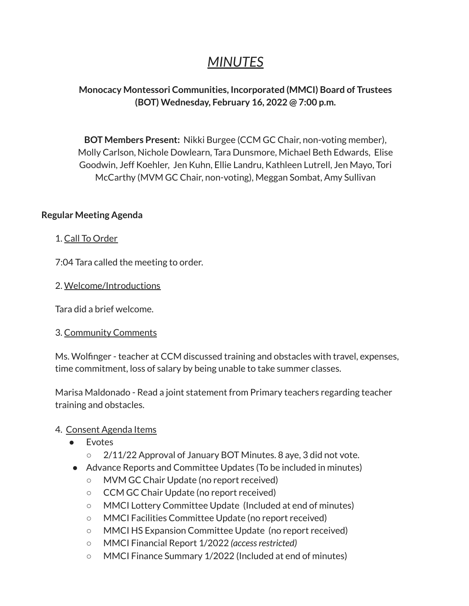# *MINUTES*

## **Monocacy Montessori Communities, Incorporated (MMCI) Board of Trustees (BOT) Wednesday, February 16, 2022 @ 7:00 p.m.**

**BOT Members Present:** Nikki Burgee (CCM GC Chair, non-voting member), Molly Carlson, Nichole Dowlearn, Tara Dunsmore, Michael Beth Edwards, Elise Goodwin, Jeff Koehler, Jen Kuhn, Ellie Landru, Kathleen Lutrell, Jen Mayo, Tori McCarthy (MVM GC Chair, non-voting), Meggan Sombat, Amy Sullivan

## **Regular Meeting Agenda**

## 1. Call To Order

7:04 Tara called the meeting to order.

2. Welcome/Introductions

Tara did a brief welcome.

### 3. Community Comments

Ms. Wolfinger - teacher at CCM discussed training and obstacles with travel, expenses, time commitment, loss of salary by being unable to take summer classes.

Marisa Maldonado - Read a joint statement from Primary teachers regarding teacher training and obstacles.

## 4. Consent Agenda Items

- **Evotes** 
	- 2/11/22 Approval of January BOT Minutes. 8 aye, 3 did not vote.
- Advance Reports and Committee Updates (To be included in minutes)
	- MVM GC Chair Update (no report received)
	- CCM GC Chair Update (no report received)
	- MMCI Lottery Committee Update (Included at end of minutes)
	- MMCI Facilities Committee Update (no report received)
	- MMCI HS Expansion Committee Update (no report received)
	- MMCI Financial Report 1/2022 *(accessrestricted)*
	- MMCI Finance Summary 1/2022 (Included at end of minutes)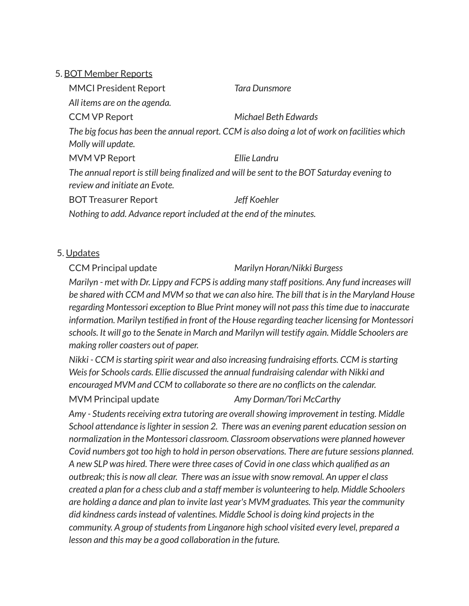## 5. BOT Member Reports

MMCI President Report *Tara Dunsmore All items are on the agenda.* CCM VP Report *Michael Beth Edwards* The big focus has been the annual report. CCM is also doing a lot of work on facilities which *Molly will update.* MVM VP Report *Ellie Landru The annual report isstill being finalized and will be sent to the BOT Saturday evening to review and initiate an Evote.* BOT Treasurer Report *Jeff Koehler Nothing to add. Advance report included at the end of the minutes.*

## 5. Updates

CCM Principal update *Marilyn Horan/Nikki Burgess*

*Marilyn - met with Dr. Lippy and FCPS is adding many staff positions. Any fund increases will be shared with CCM and MVM so that we can also hire. The bill that isin the Maryland House regarding Montessori exception to Blue Print money will not passthistime due to inaccurate information. Marilyn testified in front of the House regarding teacher licensing for Montessori schools. It will go to the Senate in March and Marilyn will testify again. Middle Schoolers are making roller coasters out of paper.*

*Nikki - CCM isstarting spirit wear and also increasing fundraising efforts. CCM isstarting Weisfor Schools cards. Ellie discussed the annual fundraising calendar with Nikki and encouraged MVM and CCM to collaborate so there are no conflicts on the calendar.*

#### MVM Principal update *Amy Dorman/Tori McCarthy*

*Amy - Studentsreceiving extra tutoring are overallshowing improvement in testing. Middle School attendance islighter in session 2. There was an evening parent education session on normalization in the Montessori classroom. Classroom observations were planned however Covid numbers got too high to hold in person observations. There are future sessions planned. A new SLP was hired. There were three cases of Covid in one class which qualified as an outbreak; thisis now all clear. There was an issue with snow removal. An upper el class created a plan for a chess club and a staff member is volunteering to help. Middle Schoolers are holding a dance and plan to invite last year's MVM graduates. This year the community did kindness cardsinstead of valentines. Middle School is doing kind projectsin the community. A group ofstudentsfrom Linganore high school visited every level, prepared a lesson and this may be a good collaboration in the future.*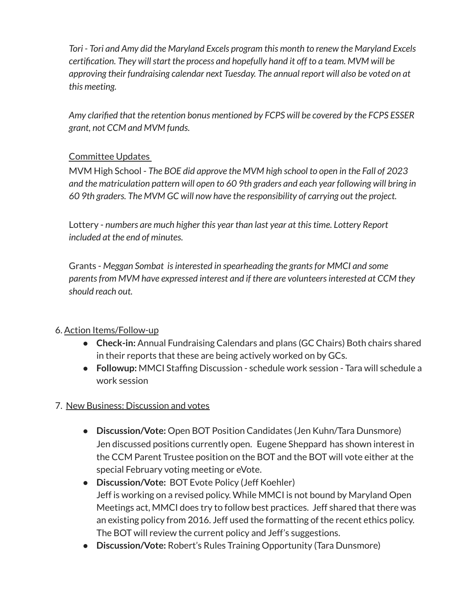*Tori - Tori and Amy did the Maryland Excels program this month to renew the Maryland Excels certification. They willstart the process and hopefully hand it off to a team. MVM will be approving their fundraising calendar next Tuesday. The annual report will also be voted on at this meeting.*

*Amy clarified that the retention bonus mentioned by FCPS will be covered by the FCPS ESSER grant, not CCM and MVM funds.*

## Committee Updates

MVM High School - *The BOE did approve the MVM high school to open in the Fall of 2023 and the matriculation pattern will open to 60 9th graders and each year following will bring in 60 9th graders. The MVM GC will now have the responsibility of carrying out the project.*

Lottery - *numbers are much higher this year than last year at thistime. Lottery Report included at the end of minutes.*

Grants - *Meggan Sombat isinterested in spearheading the grantsfor MMCI and some parentsfrom MVM have expressed interest and if there are volunteersinterested at CCM they should reach out.*

## 6. Action Items/Follow-up

- **● Check-in:** Annual Fundraising Calendars and plans (GC Chairs) Both chairs shared in their reports that these are being actively worked on by GCs.
- **Followup:** MMCI Staffing Discussion schedule work session Tara will schedule a work session

## 7. New Business: Discussion and votes

- **● Discussion/Vote:** Open BOT Position Candidates (Jen Kuhn/Tara Dunsmore) Jen discussed positions currently open. Eugene [Sheppard](mailto:illadel4ya@icloud.com) has shown interest in the CCM Parent Trustee position on the BOT and the BOT will vote either at the special February voting meeting or eVote.
- **● Discussion/Vote:** BOT Evote Policy (Jeff Koehler) Jeff is working on a revised policy. While MMCI is not bound by Maryland Open Meetings act, MMCI does try to follow best practices. Jeff shared that there was an existing policy from 2016. Jeff used the formatting of the recent ethics policy. The BOT will review the current policy and Jeff's suggestions.
- **● Discussion/Vote:** Robert's Rules Training Opportunity (Tara Dunsmore)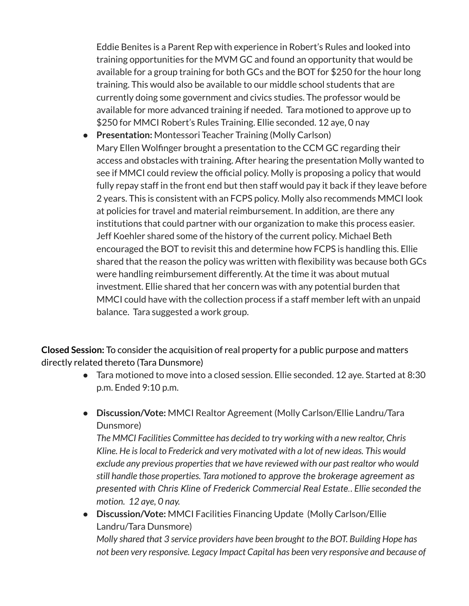Eddie Benites is a Parent Rep with experience in Robert's Rules and looked into training opportunities for the MVM GC and found an opportunity that would be available for a group training for both GCs and the BOT for \$250 for the hour long training. This would also be available to our middle school students that are currently doing some government and civics studies. The professor would be available for more advanced training if needed. Tara motioned to approve up to \$250 for MMCI Robert's Rules Training. Ellie seconded. 12 aye, 0 nay

● **Presentation:** Montessori Teacher Training (Molly Carlson) Mary Ellen Wolfinger brought a presentation to the CCM GC regarding their access and obstacles with training. After hearing the presentation Molly wanted to see if MMCI could review the official policy. Molly is proposing a policy that would fully repay staff in the front end but then staff would pay it back if they leave before 2 years. This is consistent with an FCPS policy. Molly also recommends MMCI look at policies for travel and material reimbursement. In addition, are there any institutions that could partner with our organization to make this process easier. Jeff Koehler shared some of the history of the current policy. Michael Beth encouraged the BOT to revisit this and determine how FCPS is handling this. Ellie shared that the reason the policy was written with flexibility was because both GCs were handling reimbursement differently. At the time it was about mutual investment. Ellie shared that her concern was with any potential burden that MMCI could have with the collection process if a staff member left with an unpaid balance. Tara suggested a work group.

**Closed Session:** To consider the acquisition of real property for a public purpose and matters directly related thereto (Tara Dunsmore)

- Tara motioned to move into a closed session. Ellie seconded. 12 aye. Started at 8:30 p.m. Ended 9:10 p.m.
- **Discussion/Vote:** MMCI Realtor Agreement (Molly Carlson/Ellie Landru/Tara Dunsmore)

*The MMCI Facilities Committee has decided to try working with a new realtor, Chris Kline. He islocal to Frederick and very motivated with a lot of new ideas. This would exclude any previous propertiesthat we have reviewed with our past realtor who would still handle those properties. Tara motioned to approve the brokerage agreement as presented with Chris Kline of Frederick Commercial Real Estate.. Ellie seconded the motion. 12 aye, 0 nay.*

● **Discussion/Vote:** MMCI Facilities Financing Update (Molly Carlson/Ellie Landru/Tara Dunsmore) *Molly shared that 3 service providers have been brought to the BOT. Building Hope has not been very responsive. Legacy Impact Capital has been very responsive and because of*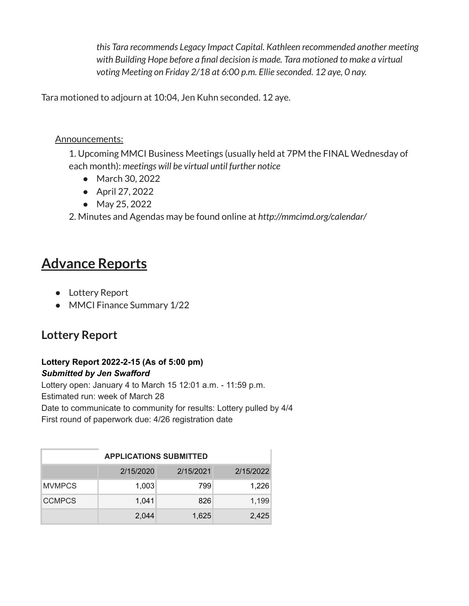*this Tara recommends Legacy Impact Capital. Kathleen recommended another meeting with Building Hope before a final decision is made. Tara motioned to make a virtual voting Meeting on Friday 2/18 at 6:00 p.m. Ellie seconded. 12 aye, 0 nay.*

Tara motioned to adjourn at 10:04, Jen Kuhn seconded. 12 aye.

## Announcements:

1. Upcoming MMCI Business Meetings (usually held at 7PM the FINAL Wednesday of each month): *meetings will be virtual until further notice*

- March 30, 2022
- April 27, 2022
- May 25, 2022

2. Minutes and Agendas may be found online at *http://mmcimd.org/calendar/*

# **Advance Reports**

- Lottery Report
- MMCI Finance Summary 1/22

## **Lottery Report**

## **Lottery Report 2022-2-15 (As of 5:00 pm)** *Submitted by Jen Swafford*

Lottery open: January 4 to March 15 12:01 a.m. - 11:59 p.m. Estimated run: week of March 28

Date to communicate to community for results: Lottery pulled by 4/4 First round of paperwork due: 4/26 registration date

| <b>APPLICATIONS SUBMITTED</b> |           |           |           |
|-------------------------------|-----------|-----------|-----------|
|                               | 2/15/2020 | 2/15/2021 | 2/15/2022 |
| <b>MVMPCS</b>                 | 1,003     | 799       | 1,226     |
| <b>CCMPCS</b>                 | 1.041     | 826       | 1.199     |
|                               | 2,044     | 1,625     | 2,425     |